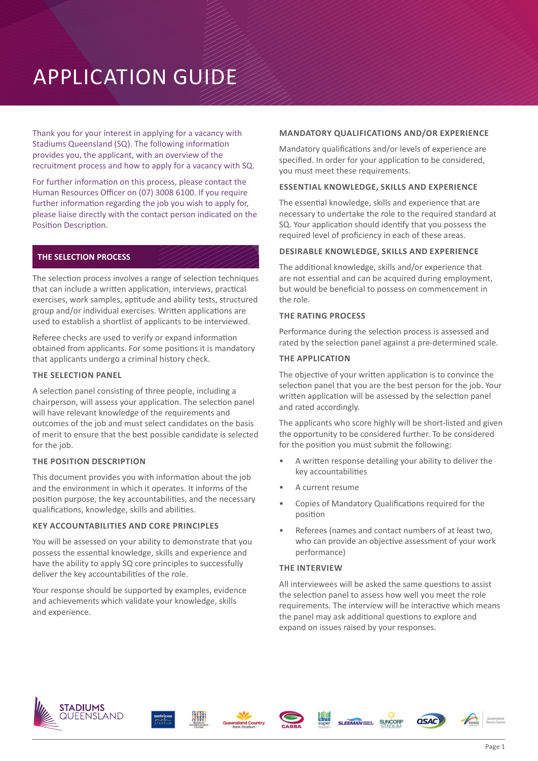# APPLICATION GUIDE

Thank you for your interest in applying for a vacancy with Stadiums Queensland (SQ). The following information provides you, the applicant, with an overview of the recruitment process and how to apply for a vacancy with SQ.

For further information on this process, please contact the Human Resources Officer on (07) 3008 6100. If you require further information regarding the job you wish to apply for, please liaise directly with the contact person indicated on the Position Description.

# **THE SELECTION PROCESS**

The selection process involves a range of selection techniques that can include a written application, interviews, practical exercises, work samples, aptitude and ability tests, structured group and/or individual exercises. Written applications are used to establish a shortlist of applicants to be interviewed.

Referee checks are used to verify or expand information obtained from applicants. For some positions it is mandatory that applicants undergo a criminal history check.

#### **THE SELECTION PANEL**

A selection panel consisting of three people, including a chairperson, will assess your application. The selection panel will have relevant knowledge of the requirements and outcomes of the job and must select candidates on the basis of merit to ensure that the best possible candidate is selected for the job.

## **THE POSITION DESCRIPTION**

This document provides you with information about the job and the environment in which it operates. It informs of the position purpose, the key accountabilities, and the necessary qualifications, knowledge, skills and abilities.

#### **KEY ACCOUNTABILITIES AND CORE PRINCIPLES**

You will be assessed on your ability to demonstrate that you possess the essential knowledge, skills and experience and have the ability to apply SQ core principles to successfully deliver the key accountabilities of the role.

Your response should be supported by examples, evidence and achievements which validate your knowledge, skills and experience.

#### **MANDATORY QUALIFICATIONS AND/OR EXPERIENCE**

Mandatory qualifications and/or levels of experience are specified. In order for your application to be considered, you must meet these requirements.

#### **ESSENTIAL KNOWLEDGE, SKILLS AND EXPERIENCE**

The essential knowledge, skills and experience that are necessary to undertake the role to the required standard at SQ. Your application should identify that you possess the required level of proficiency in each of these areas.

## **DESIRABLE KNOWLEDGE, SKILLS AND EXPERIENCE**

The additional knowledge, skills and/or experience that are not essential and can be acquired during employment, but would be beneficial to possess on commencement in the role.

#### **THE RATING PROCESS**

Performance during the selection process is assessed and rated by the selection panel against a pre-determined scale.

#### **THE APPLICATION**

The objective of your written application is to convince the selection panel that you are the best person for the job. Your written application will be assessed by the selection panel and rated accordingly.

The applicants who score highly will be short-listed and given the opportunity to be considered further. To be considered for the position you must submit the following:

- A written response detailing your ability to deliver the key accountabilities
- A current resume
- Copies of Mandatory Qualifications required for the position
- Referees (names and contact numbers of at least two, who can provide an objective assessment of your work performance)

#### **THE INTERVIEW**

All interviewees will be asked the same questions to assist the selection panel to assess how well you meet the role requirements. The interview will be interactive which means the panel may ask additional questions to explore and expand on issues raised by your responses.